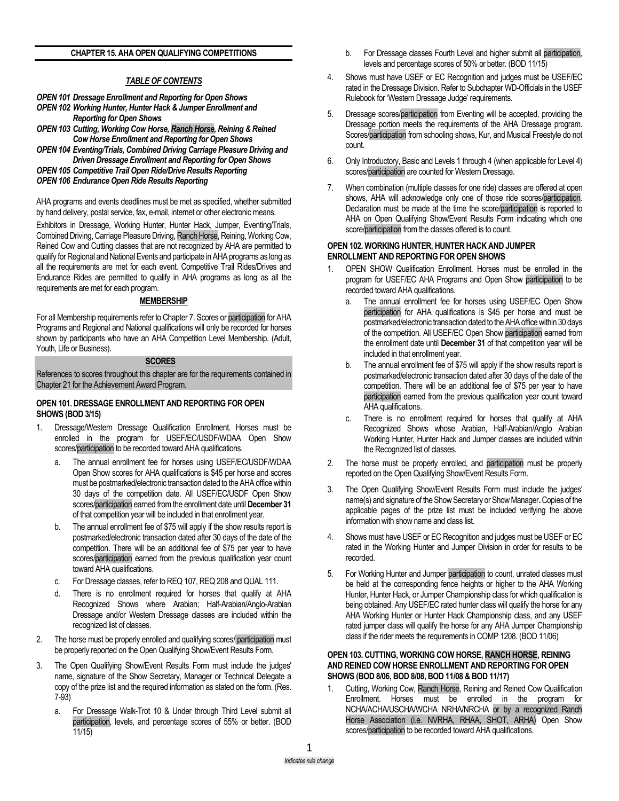## **CHAPTER 15. AHA OPEN QUALIFYING COMPETITIONS**

# *TABLE OF CONTENTS*

- *OPEN 101 Dressage Enrollment and Reporting for Open Shows*
- *OPEN 102 Working Hunter, Hunter Hack & Jumper Enrollment and Reporting for Open Shows*
- *OPEN 103 Cutting, Working Cow Horse, Ranch Horse, Reining & Reined Cow Horse Enrollment and Reporting for Open Shows*
- *OPEN 104 Eventing/Trials, Combined Driving Carriage Pleasure Driving and Driven Dressage Enrollment and Reporting for Open Shows*
- *OPEN 105 Competitive Trail Open Ride/Drive Results Reporting*
- *OPEN 106 Endurance Open Ride Results Reporting*

AHA programs and events deadlines must be met as specified, whether submitted by hand delivery, postal service, fax, e-mail, internet or other electronic means.

Exhibitors in Dressage, Working Hunter, Hunter Hack, Jumper, Eventing/Trials, Combined Driving, Carriage Pleasure Driving, Ranch Horse, Reining, Working Cow, Reined Cow and Cutting classes that are not recognized by AHA are permitted to qualify for Regional and National Events and participate in AHA programs as long as all the requirements are met for each event. Competitive Trail Rides/Drives and Endurance Rides are permitted to qualify in AHA programs as long as all the requirements are met for each program.

# **MEMBERSHIP**

For all Membership requirements refer to Chapter 7. Scores or participation for AHA Programs and Regional and National qualifications will only be recorded for horses shown by participants who have an AHA Competition Level Membership. (Adult, Youth, Life or Business).

#### **SCORES**

References to scores throughout this chapter are for the requirements contained in Chapter 21 for the Achievement Award Program.

## **OPEN 101. DRESSAGE ENROLLMENT AND REPORTING FOR OPEN SHOWS (BOD 3/15)**

- 1. Dressage/Western Dressage Qualification Enrollment. Horses must be enrolled in the program for USEF/EC/USDF/WDAA Open Show scores/participation to be recorded toward AHA qualifications.
	- a. The annual enrollment fee for horses using USEF/EC/USDF/WDAA Open Show scores for AHA qualifications is \$45 per horse and scores must be postmarked/electronic transaction dated to the AHA office within 30 days of the competition date. All USEF/EC/USDF Open Show scores/participation earned from the enrollment date until **December 31** of that competition year will be included in that enrollment year.
	- b. The annual enrollment fee of \$75 will apply if the show results report is postmarked/electronic transaction dated after 30 days of the date of the competition. There will be an additional fee of \$75 per year to have scores/participation earned from the previous qualification year count toward AHA qualifications.
	- c. For Dressage classes, refer to REQ 107, REQ 208 and QUAL 111.
	- d. There is no enrollment required for horses that qualify at AHA Recognized Shows where Arabian; Half-Arabian/Anglo-Arabian Dressage and/or Western Dressage classes are included within the recognized list of classes.
- 2. The horse must be properly enrolled and qualifying scores/ participation must be properly reported on the Open Qualifying Show/Event Results Form.
- 3. The Open Qualifying Show/Event Results Form must include the judges' name, signature of the Show Secretary, Manager or Technical Delegate a copy of the prize list and the required information as stated on the form. (Res. 7-93)
	- a. For Dressage Walk-Trot 10 & Under through Third Level submit all participation, levels, and percentage scores of 55% or better. (BOD 11/15)
- b. For Dressage classes Fourth Level and higher submit all participation, levels and percentage scores of 50% or better. (BOD 11/15)
- 4. Shows must have USEF or EC Recognition and judges must be USEF/EC rated in the Dressage Division. Refer to Subchapter WD-Officials in the USEF Rulebook for 'Western Dressage Judge' requirements.
- 5. Dressage scores/participation from Eventing will be accepted, providing the Dressage portion meets the requirements of the AHA Dressage program. Scores/participation from schooling shows, Kur, and Musical Freestyle do not count.
- 6. Only Introductory, Basic and Levels 1 through 4 (when applicable for Level 4) scores/participation are counted for Western Dressage.
- 7. When combination (multiple classes for one ride) classes are offered at open shows, AHA will acknowledge only one of those ride scores/participation. Declaration must be made at the time the score/participation is reported to AHA on Open Qualifying Show/Event Results Form indicating which one score/participation from the classes offered is to count.

## **OPEN 102. WORKING HUNTER, HUNTER HACK AND JUMPER ENROLLMENT AND REPORTING FOR OPEN SHOWS**

- 1. OPEN SHOW Qualification Enrollment. Horses must be enrolled in the program for USEF/EC AHA Programs and Open Show participation to be recorded toward AHA qualifications.
	- a. The annual enrollment fee for horses using USEF/EC Open Show participation for AHA qualifications is \$45 per horse and must be postmarked/electronic transaction dated to the AHA office within 30 days of the competition. All USEF/EC Open Show participation earned from the enrollment date until **December 31** of that competition year will be included in that enrollment year.
	- b. The annual enrollment fee of \$75 will apply if the show results report is postmarked/electronic transaction dated after 30 days of the date of the competition. There will be an additional fee of \$75 per year to have participation earned from the previous qualification year count toward AHA qualifications.
	- c. There is no enrollment required for horses that qualify at AHA Recognized Shows whose Arabian, Half-Arabian/Anglo Arabian Working Hunter, Hunter Hack and Jumper classes are included within the Recognized list of classes.
- 2. The horse must be properly enrolled, and participation must be properly reported on the Open Qualifying Show/Event Results Form.
- 3. The Open Qualifying Show/Event Results Form must include the judges' name(s) and signature of the Show Secretary or Show Manager**.**Copies of the applicable pages of the prize list must be included verifying the above information with show name and class list.
- 4. Shows must have USEF or EC Recognition and judges must be USEF or EC rated in the Working Hunter and Jumper Division in order for results to be recorded.
- 5. For Working Hunter and Jumper participation to count, unrated classes must be held at the corresponding fence heights or higher to the AHA Working Hunter, Hunter Hack, or Jumper Championship class for which qualification is being obtained. Any USEF/EC rated hunter class will qualify the horse for any AHA Working Hunter or Hunter Hack Championship class, and any USEF rated jumper class will qualify the horse for any AHA Jumper Championship class if the rider meets the requirements in COMP 1208. (BOD 11/06)

## **OPEN 103. CUTTING, WORKING COW HORSE, RANCH HORSE, REINING AND REINED COW HORSE ENROLLMENT AND REPORTING FOR OPEN SHOWS (BOD 8/06, BOD 8/08, BOD 11/08 & BOD 11/17)**

1. Cutting, Working Cow, Ranch Horse, Reining and Reined Cow Qualification Enrollment. Horses must be enrolled in the program for NCHA/ACHA/USCHA/WCHA NRHA/NRCHA or by a recognized Ranch Horse Association (i.e. NVRHA, RHAA, SHOT, ARHA) Open Show scores/participation to be recorded toward AHA qualifications.